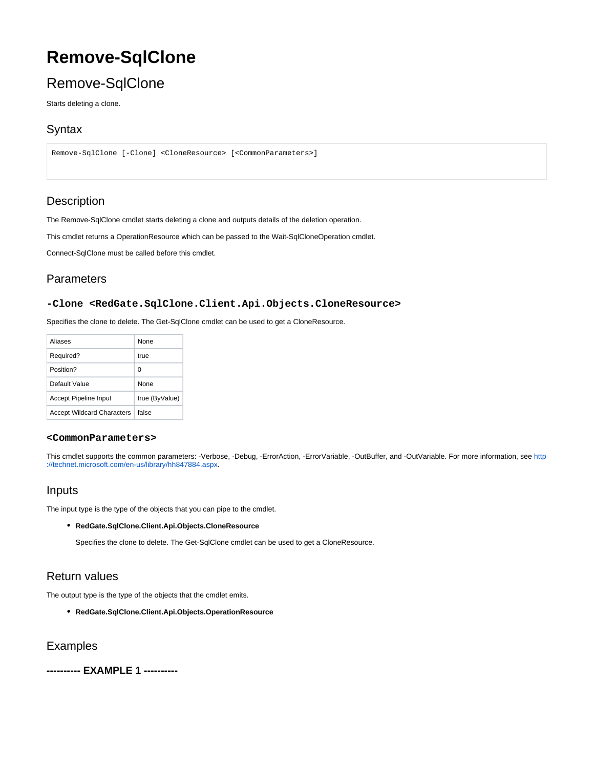# **Remove-SqlClone**

## Remove-SqlClone

Starts deleting a clone.

### **Syntax**

```
Remove-SqlClone [-Clone] <CloneResource> [<CommonParameters>]
```
## **Description**

The Remove-SqlClone cmdlet starts deleting a clone and outputs details of the deletion operation.

This cmdlet returns a OperationResource which can be passed to the Wait-SqlCloneOperation cmdlet.

Connect-SqlClone must be called before this cmdlet.

## Parameters

#### **-Clone <RedGate.SqlClone.Client.Api.Objects.CloneResource>**

Specifies the clone to delete. The Get-SqlClone cmdlet can be used to get a CloneResource.

| Aliases                           | <b>None</b>    |
|-----------------------------------|----------------|
| Required?                         | true           |
| Position?                         | O              |
| Default Value                     | <b>None</b>    |
| <b>Accept Pipeline Input</b>      | true (ByValue) |
| <b>Accept Wildcard Characters</b> | false          |

#### **<CommonParameters>**

This cmdlet supports the common parameters: -Verbose, -Debug, -ErrorAction, -ErrorVariable, -OutBuffer, and -OutVariable. For more information, see [http](http://technet.microsoft.com/en-us/library/hh847884.aspx) [://technet.microsoft.com/en-us/library/hh847884.aspx](http://technet.microsoft.com/en-us/library/hh847884.aspx).

## Inputs

The input type is the type of the objects that you can pipe to the cmdlet.

**RedGate.SqlClone.Client.Api.Objects.CloneResource**

Specifies the clone to delete. The Get-SqlClone cmdlet can be used to get a CloneResource.

## Return values

The output type is the type of the objects that the cmdlet emits.

**RedGate.SqlClone.Client.Api.Objects.OperationResource**

Examples

**---------- EXAMPLE 1 ----------**